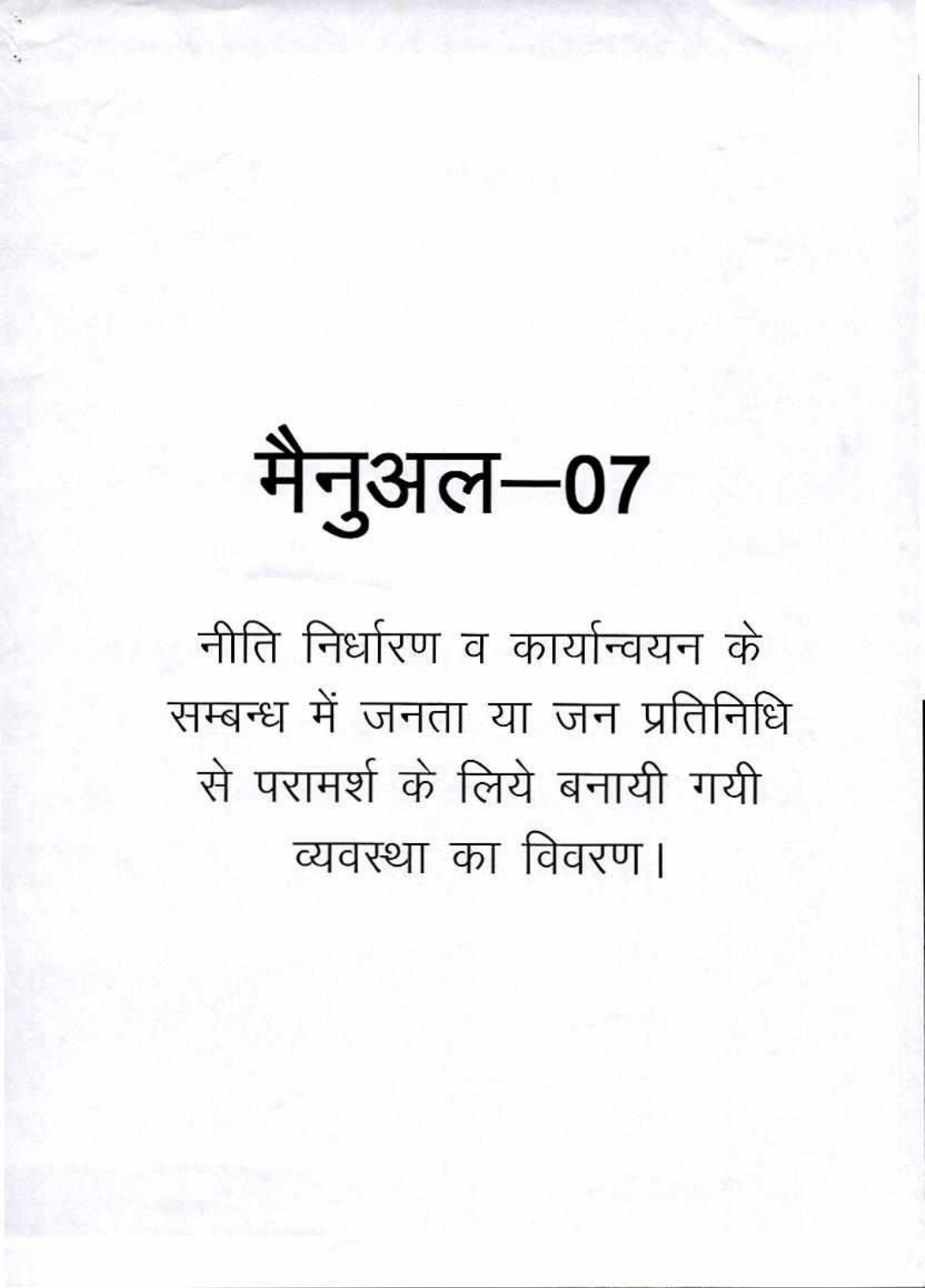## मैनुअल–07

नीति निर्धारण व कार्यान्वयन के सम्बन्ध में जनता या जन प्रतिनिधि से परामर्श के लिये बनायी गयी व्यवस्था का विवरण।